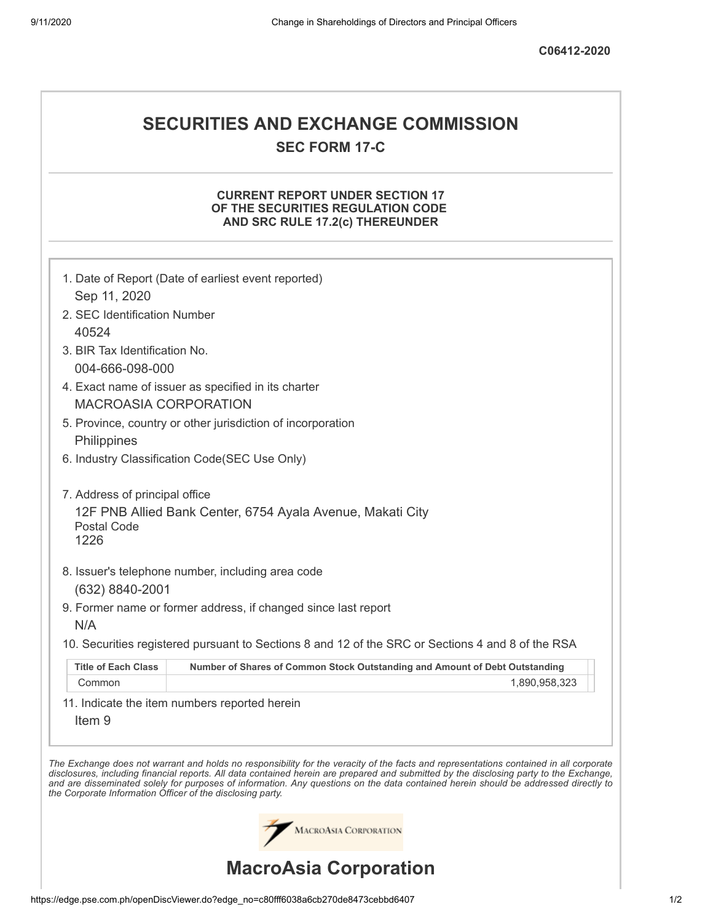# **SECURITIES AND EXCHANGE COMMISSION SEC FORM 17-C**

## **CURRENT REPORT UNDER SECTION 17 OF THE SECURITIES REGULATION CODE AND SRC RULE 17.2(c) THEREUNDER**

|                                                            | 1. Date of Report (Date of earliest event reported)                                                                                                                                                                                                                                                                                                                                                                      |
|------------------------------------------------------------|--------------------------------------------------------------------------------------------------------------------------------------------------------------------------------------------------------------------------------------------------------------------------------------------------------------------------------------------------------------------------------------------------------------------------|
| Sep 11, 2020                                               |                                                                                                                                                                                                                                                                                                                                                                                                                          |
| 2. SEC Identification Number                               |                                                                                                                                                                                                                                                                                                                                                                                                                          |
| 40524                                                      |                                                                                                                                                                                                                                                                                                                                                                                                                          |
| 3. BIR Tax Identification No.                              |                                                                                                                                                                                                                                                                                                                                                                                                                          |
| 004-666-098-000                                            |                                                                                                                                                                                                                                                                                                                                                                                                                          |
|                                                            | 4. Exact name of issuer as specified in its charter                                                                                                                                                                                                                                                                                                                                                                      |
| <b>MACROASIA CORPORATION</b>                               |                                                                                                                                                                                                                                                                                                                                                                                                                          |
|                                                            | 5. Province, country or other jurisdiction of incorporation                                                                                                                                                                                                                                                                                                                                                              |
| Philippines                                                |                                                                                                                                                                                                                                                                                                                                                                                                                          |
|                                                            | 6. Industry Classification Code(SEC Use Only)                                                                                                                                                                                                                                                                                                                                                                            |
| 7. Address of principal office                             |                                                                                                                                                                                                                                                                                                                                                                                                                          |
| Postal Code<br>1226                                        | 12F PNB Allied Bank Center, 6754 Ayala Avenue, Makati City                                                                                                                                                                                                                                                                                                                                                               |
|                                                            |                                                                                                                                                                                                                                                                                                                                                                                                                          |
|                                                            | 8. Issuer's telephone number, including area code                                                                                                                                                                                                                                                                                                                                                                        |
| (632) 8840-2001                                            |                                                                                                                                                                                                                                                                                                                                                                                                                          |
|                                                            | 9. Former name or former address, if changed since last report                                                                                                                                                                                                                                                                                                                                                           |
| N/A                                                        |                                                                                                                                                                                                                                                                                                                                                                                                                          |
|                                                            | 10. Securities registered pursuant to Sections 8 and 12 of the SRC or Sections 4 and 8 of the RSA                                                                                                                                                                                                                                                                                                                        |
| <b>Title of Each Class</b>                                 | Number of Shares of Common Stock Outstanding and Amount of Debt Outstanding                                                                                                                                                                                                                                                                                                                                              |
| Common                                                     | 1,890,958,323                                                                                                                                                                                                                                                                                                                                                                                                            |
| Item <sub>9</sub>                                          | 11. Indicate the item numbers reported herein                                                                                                                                                                                                                                                                                                                                                                            |
| the Corporate Information Officer of the disclosing party. | The Exchange does not warrant and holds no responsibility for the veracity of the facts and representations contained in all corporate<br>disclosures, including financial reports. All data contained herein are prepared and submitted by the disclosing party to the Exchange,<br>and are disseminated solely for purposes of information. Any questions on the data contained herein should be addressed directly to |
|                                                            | MACROASIA CORPORATION                                                                                                                                                                                                                                                                                                                                                                                                    |
|                                                            | <b>MacroAsia Corporation</b>                                                                                                                                                                                                                                                                                                                                                                                             |